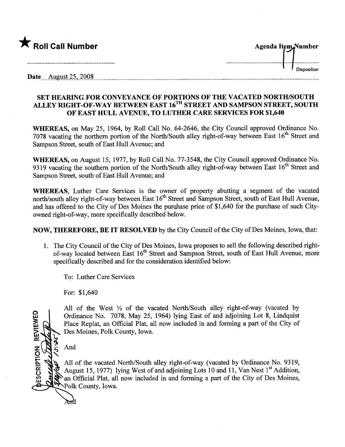| K Roll Call Number      | Agenda Item Number |  |  |
|-------------------------|--------------------|--|--|
|                         |                    |  |  |
| August 25, 2008<br>Date | <b>Disposition</b> |  |  |

## SET HEARING FOR CONVEYANCE OF PORTIONS OF THE VACATED NORTH/SOUTH ALLEY RIGHT-OF-WAY BETWEEN EAST 16<sup>TH</sup> STREET AND SAMPSON STREET, SOUTH OF EAST HULL AVENUE, TO LUTHER CARE SERVICES FOR \$1,640

WHEREAS, on May 25, 1964, by Roll Call No. 64-2646, the City Council approved Ordinance No. 7078 vacating the northern portion of the North/South alley right-of-way between East 16<sup>th</sup> Street and Sampson Street, south of East Hull Avenue; and

WHEREAS, on August 15, 1977, by Roll Call No. 77-3548, the City Council approved Ordinance No. 9319 vacating the southern portion of the North/South alley right-of-way between East 16<sup>th</sup> Street and Sampson Street, south of East Hull Avenue; and

WHEREAS, Luther Care Services is the owner of property abutting a segment of the vacated north/south alley right-of-way between East 16<sup>th</sup> Street and Sampson Street, south of East Hull Avenue, and has offered to the City of Des Moines the purchase price of \$1,640 for the purchase of such Cityowned right-of-way, more specifically described below.

## NOW, THEREFORE, BE IT RESOLVED by the City Council of the City of Des Moines, Iowa, that:

1. The City Council of the City of Des Moines, Iowa proposes to sell the following described rightof-way located between East 16<sup>th</sup> Street and Sampson Street, south of East Hull Avenue, more specifically described and for the consideration identified below:

To: Luther Care Services

For: \$1,640

All of the West  $\frac{1}{2}$  of the vacated North/South alley right-of-way (vacated by Ordinance No. 7078, May 25, 1964) lying East of and adjoining Lot 8, Lindquist Place Replat, an Official Plat, all now included in and forming a part of the City of Des Moines, Polk County, Iowa.

And

And

ESCRIPTION REVIEWED

All of the vacated North/South alley right-of-way (vacated by Ordinance No. 9319, August 15, 1977) lying West of and adjoining Lots 10 and 11, Van Nest  $1<sup>st</sup>$  Addition, an Official Plat, all now included in and forming a part of the City of Des Moines, ~Polk County, Iowa.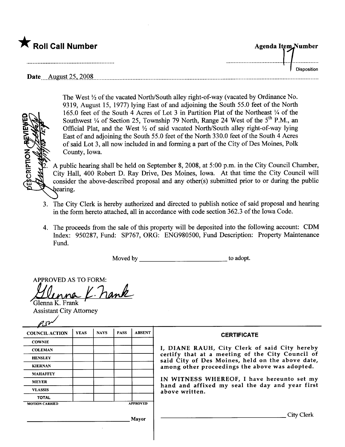| K Roll Call Number             | <b>Agenda Item Number</b> |
|--------------------------------|---------------------------|
|                                |                           |
| August 25, 2008<br><b>Date</b> | <b>Disposition</b>        |



The West  $\frac{1}{2}$  of the vacated North/South alley right-of-way (vacated by Ordinance No. 9319, August 15,1977) lying East of and adjoining the South 55.0 feet of the North 165.0 feet of the South 4 Acres of Lot 3 in Partition Plat of the Northeast  $\frac{1}{4}$  of the Southwest  $\frac{1}{4}$  of Section 25, Township 79 North, Range 24 West of the 5<sup>th</sup> P.M., an Official Plat, and the West  $\frac{1}{2}$  of said vacated North/South alley right-of-way lying East of and adjoining the South 55.0 feet of the North 330.0 feet of the South 4 Acres of said Lot 3, all now included in and forming a par of the City of Des Moines, Polk County, Iowa.

A public hearing shall be held on September 8, 2008, at 5:00 p.m. in the City Council Chamber, City Hall, 400 Robert D. Ray Drive, Des Moines, Iowa. At that time the City Council wil consider the above-described proposal and any other(s) submitted prior to or during the public hearing.

- 3. The City Clerk is hereby authorized and directed to publish notice of said proposal and hearng in the form hereto attached, all in accordance with code section 362.3 of the Iowa Code.
- 4. The proceeds from the sale of ths property will be deposited into the following account: CDM Index: 950287, Fund: SP767, ORG: ENG980500, Fund Description: Property Maintenance Fund.

Moved by to adopt.

APPROVED AS TO FORM: Glenna K. Frank

| <b>Assistant City Attorney</b> |             |             |             |                                                                   |                                                                                                                                                                                                         |
|--------------------------------|-------------|-------------|-------------|-------------------------------------------------------------------|---------------------------------------------------------------------------------------------------------------------------------------------------------------------------------------------------------|
|                                |             |             |             |                                                                   |                                                                                                                                                                                                         |
| <b>COUNCIL ACTION</b>          | <b>YEAS</b> | <b>NAYS</b> | <b>PASS</b> | <b>ABSENT</b>                                                     | <b>CERTIFICATE</b>                                                                                                                                                                                      |
| <b>COWNIE</b>                  |             |             |             |                                                                   |                                                                                                                                                                                                         |
| <b>COLEMAN</b>                 |             |             |             |                                                                   | I, DIANE RAUH, City Clerk of said City hereby<br>certify that at a meeting of the City Council of<br>said City of Des Moines, held on the above date,<br>among other proceedings the above was adopted. |
| <b>HENSLEY</b>                 |             |             |             |                                                                   |                                                                                                                                                                                                         |
| <b>KIERNAN</b>                 |             |             |             |                                                                   |                                                                                                                                                                                                         |
| <b>MAHAFFEY</b>                |             |             |             |                                                                   |                                                                                                                                                                                                         |
| <b>MEYER</b>                   |             |             |             |                                                                   | IN WITNESS WHEREOF, I have hereunto set my                                                                                                                                                              |
| <b>VLASSIS</b>                 |             |             |             | hand and affixed my seal the day and year first<br>above written. |                                                                                                                                                                                                         |
| <b>TOTAL</b>                   |             |             |             |                                                                   |                                                                                                                                                                                                         |
| <b>MOTION CARRIED</b>          |             |             |             | <b>APPROVED</b>                                                   |                                                                                                                                                                                                         |
|                                |             |             |             | Mavor                                                             | City Clerk                                                                                                                                                                                              |